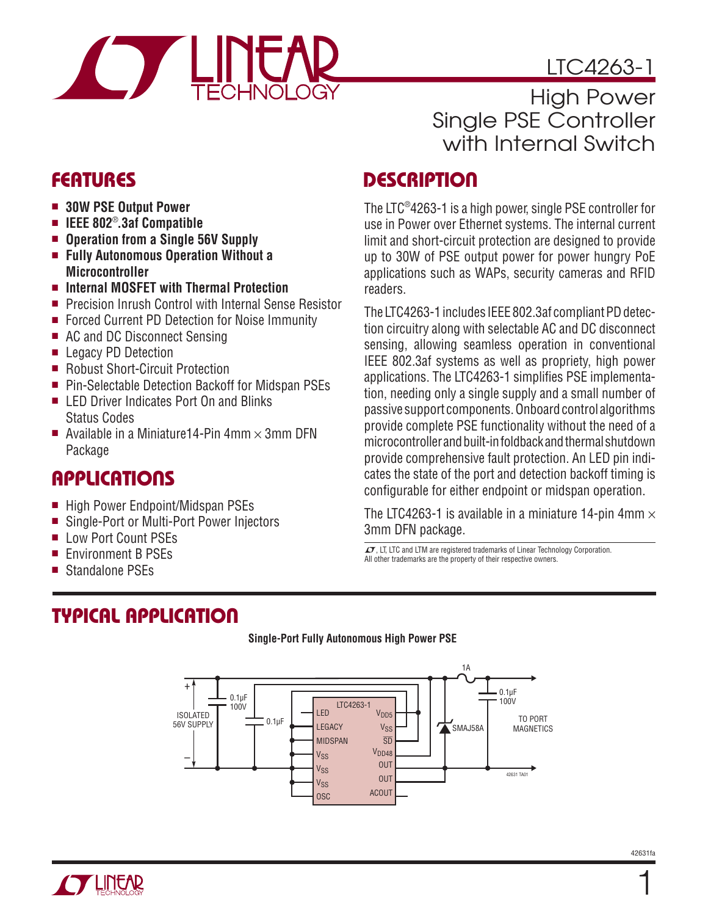

# LTC4263-1

High Power Single PSE Controller with Internal Switch

### **DESCRIPTION**

The LTC®4263-1 is a high power, single PSE controller for use in Power over Ethernet systems. The internal current limit and short-circuit protection are designed to provide up to 30W of PSE output power for power hungry PoE applications such as WAPs, security cameras and RFID readers.

The LTC4263-1 includes IEEE 802.3af compliant PD detection circuitry along with selectable AC and DC disconnect sensing, allowing seamless operation in conventional IEEE 802.3af systems as well as propriety, high power applications. The LTC4263-1 simplifies PSE implementation, needing only a single supply and a small number of passive support components. Onboard control algorithms provide complete PSE functionality without the need of a microcontroller and built-in foldback and thermal shutdown provide comprehensive fault protection. An LED pin indicates the state of the port and detection backoff timing is configurable for either endpoint or midspan operation.

The LTC4263-1 is available in a miniature 14-pin 4mm  $\times$ 3mm DFN package.

 $\sqrt{27}$ , LT, LTC and LTM are registered trademarks of Linear Technology Corporation. All other trademarks are the property of their respective owners.

### **FEATURES**

- $\blacksquare$  **30W PSE Output Power**
- IEEE 802®.3af Compatible
- Operation from a Single 56V Supply
- <sup>n</sup> **Fully Autonomous Operation Without a Microcontroller**
- Internal MOSFET with Thermal Protection
- Precision Inrush Control with Internal Sense Resistor
- Forced Current PD Detection for Noise Immunity
- AC and DC Disconnect Sensing
- **E** Legacy PD Detection
- Robust Short-Circuit Protection
- Pin-Selectable Detection Backoff for Midspan PSEs
- LED Driver Indicates Port On and Blinks Status Codes
- Available in a Miniature 14-Pin 4mm  $\times$  3mm DFN Package

# **APPLICATIONS**

- High Power Endpoint/Midspan PSEs
- Single-Port or Multi-Port Power Injectors
- **Low Port Count PSEs**
- Environment B PSEs
- Standalone PSEs

# **TYPICAL APPLICATION**



#### **Single-Port Fully Autonomous High Power PSE**

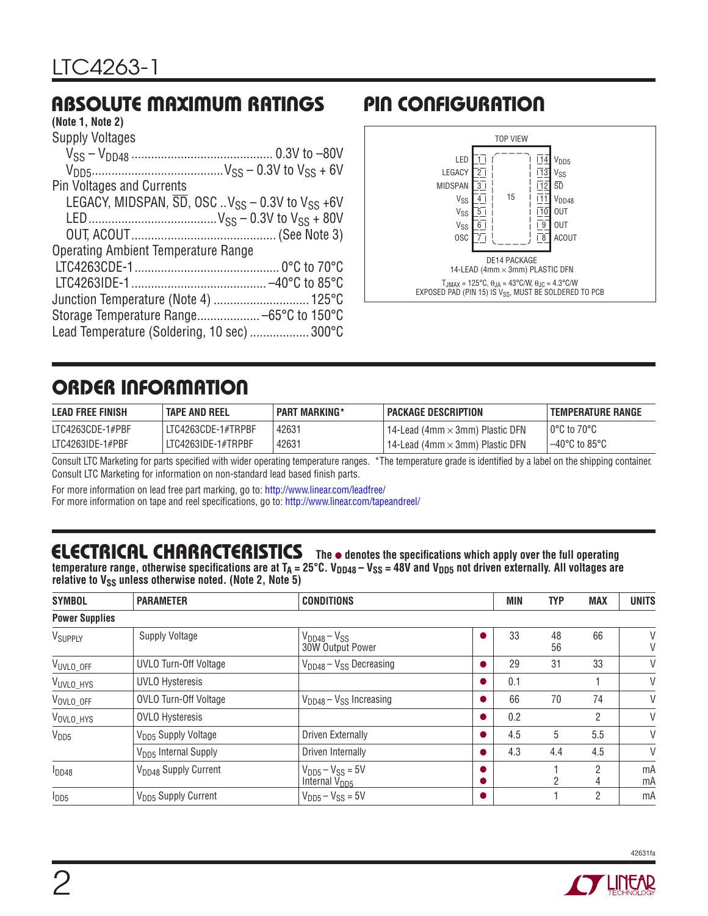## **ABSOLUTE MAXIMUM RATINGS**

#### **(Note 1, Note 2)**

| Supply Voltages                                                                      |
|--------------------------------------------------------------------------------------|
|                                                                                      |
|                                                                                      |
| <b>Pin Voltages and Currents</b>                                                     |
| LEGACY, MIDSPAN, $\overline{SD}$ , OSC V <sub>SS</sub> – 0.3V to V <sub>SS</sub> +6V |
|                                                                                      |
|                                                                                      |
| <b>Operating Ambient Temperature Range</b>                                           |
|                                                                                      |
|                                                                                      |
|                                                                                      |
|                                                                                      |
| Lead Temperature (Soldering, 10 sec)  300°C                                          |

# **PIN CONFIGURATION**



## **ORDER INFORMATION**

| <b>LEAD FREE FINISH</b> | <b>TAPE AND REEL</b> | <b>PART MARKING*</b> | <b>PACKAGE DESCRIPTION</b>                          | <b>TEMPERATURE RANGE</b>           |
|-------------------------|----------------------|----------------------|-----------------------------------------------------|------------------------------------|
| LTC4263CDE-1#PBF        | LITC4263CDE-1#TRPBF  | 42631                | ' 14-Lead (4mm $\times$ 3mm) Plastic DFN $^{\circ}$ | l 0°C to 70°C                      |
| $LTC4263IDE-1#PBF$      | LITC4263IDE-1#TRPBF  | 42631                | ' 14-Lead (4mm $\times$ 3mm) Plastic DFN $\,$       | $-40^{\circ}$ C to 85 $^{\circ}$ C |

Consult LTC Marketing for parts specified with wider operating temperature ranges. \*The temperature grade is identified by a label on the shipping container. Consult LTC Marketing for information on non-standard lead based finish parts.

For more information on lead free part marking, go to[: http://www.linear.com/leadfree/](http://www.linear.com/leadfree/) 

For more information on tape and reel specifications, go to[: http://www.linear.com/tapeandreel/](http://www.linear.com/tapeandreel/)

## **ELECTRICAL CHARACTERISTICS** The  $\bullet$  denotes the specifications which apply over the full operating

temperature range, otherwise specifications are at T<sub>A</sub> = 25°C. V<sub>DD48</sub> – V<sub>SS</sub> = 48V and V<sub>DD5</sub> not driven externally. All voltages are relative to V<sub>SS</sub> unless otherwise noted. (Note 2, Note 5)

| <b>SYMBOL</b>         | <b>PARAMETER</b>                 | <b>CONDITIONS</b>                                    | <b>MIN</b> | <b>TYP</b> | <b>MAX</b> | <b>UNITS</b> |
|-----------------------|----------------------------------|------------------------------------------------------|------------|------------|------------|--------------|
| <b>Power Supplies</b> |                                  |                                                      |            |            |            |              |
| V <sub>SUPPLY</sub>   | <b>Supply Voltage</b>            | $V_{DD48} - V_{SS}$<br>30W Output Power              | 33         | 48<br>56   | 66         | V<br>V       |
| V <sub>UVLO_OFF</sub> | UVLO Turn-Off Voltage            | $V_{DD48} - V_{SS}$ Decreasing                       | 29         | 31         | 33         | V            |
| V <sub>UVLO_HYS</sub> | <b>UVLO Hysteresis</b>           |                                                      | 0.1        |            |            | V            |
| V <sub>OVLO_OFF</sub> | <b>OVLO Turn-Off Voltage</b>     | $V_{DD48} - V_{SS}$ Increasing                       | 66         | 70         | 74         | V            |
| VOVLO_HYS             | <b>OVLO Hysteresis</b>           |                                                      | 0.2        |            | 2          | V            |
| V <sub>DD5</sub>      | V <sub>DD5</sub> Supply Voltage  | <b>Driven Externally</b>                             | 4.5        | 5          | 5.5        | V            |
|                       | V <sub>DD5</sub> Internal Supply | Driven Internally                                    | 4.3        | 4.4        | 4.5        | V            |
| $I_{DD48}$            | V <sub>DD48</sub> Supply Current | $V_{DD5} - V_{SS} = 5V$<br>Internal V <sub>DD5</sub> |            | 2          | 2<br>4     | mA<br>mA     |
| $I_{DD5}$             | V <sub>DD5</sub> Supply Current  | $V_{DD5} - V_{SS} = 5V$                              |            |            | 2          | mA           |



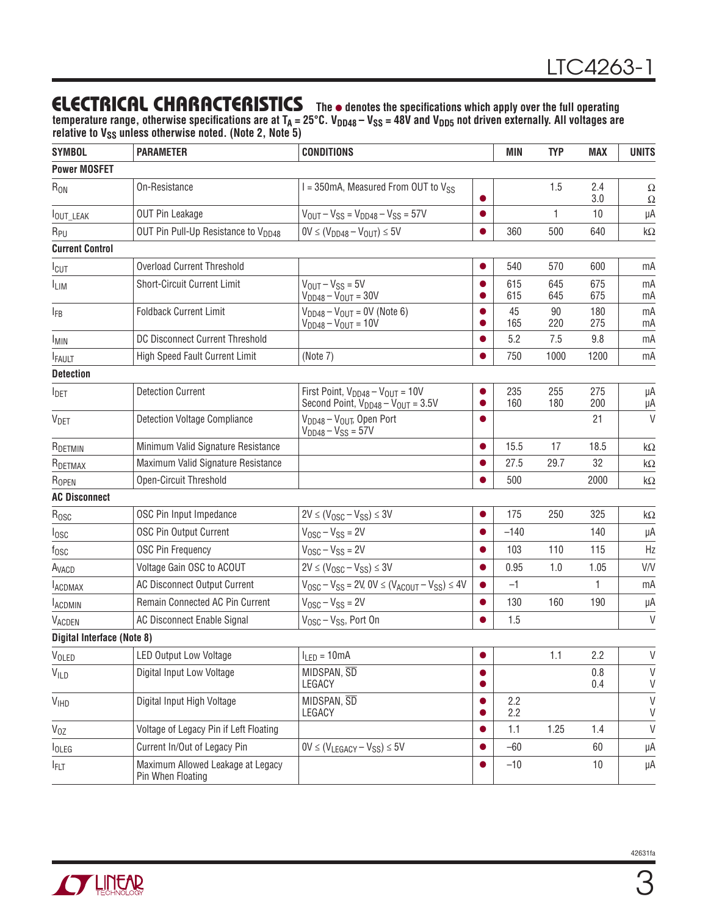### **ELECTRICAL CHARACTERISTICS** The  $\bullet$  denotes the specifications which apply over the full operating

temperature range, otherwise specifications are at T<sub>A</sub> = 25°C. V<sub>DD48</sub> – V<sub>SS</sub> = 48V and V<sub>DD5</sub> not driven externally. All voltages are relative to V<sub>SS</sub> unless otherwise noted. (Note 2, Note 5)

| <b>SYMBOL</b>                     | <b>PARAMETER</b>                                       | <b>CONDITIONS</b>                                                                            |           | MIN        | <b>TYP</b>   | <b>MAX</b> | <b>UNITS</b> |
|-----------------------------------|--------------------------------------------------------|----------------------------------------------------------------------------------------------|-----------|------------|--------------|------------|--------------|
| <b>Power MOSFET</b>               |                                                        |                                                                                              |           |            |              |            |              |
| $R_{ON}$                          | On-Resistance                                          | $I = 350$ mA, Measured From OUT to $V_{SS}$                                                  | $\bullet$ |            | 1.5          | 2.4<br>3.0 | Ω<br>Ω       |
| <b>IOUT_LEAK</b>                  | <b>OUT Pin Leakage</b>                                 | $V_{OUT} - V_{SS} = V_{DD48} - V_{SS} = 57V$                                                 | $\bullet$ |            | $\mathbf{1}$ | 10         | μA           |
| R <sub>PU</sub>                   | OUT Pin Pull-Up Resistance to V <sub>DD48</sub>        | $0V \leq (V_{DD48} - V_{OUT}) \leq 5V$                                                       |           | 360        | 500          | 640        | kΩ           |
| <b>Current Control</b>            |                                                        |                                                                                              |           |            |              |            |              |
| I <sub>CUT</sub>                  | <b>Overload Current Threshold</b>                      |                                                                                              |           | 540        | 570          | 600        | mA           |
| <b>ILIM</b>                       | <b>Short-Circuit Current Limit</b>                     | $V_{OUT} - V_{SS} = 5V$<br>$V_{DD48} - V_{OUT} = 30V$                                        |           | 615<br>615 | 645<br>645   | 675<br>675 | mA<br>mA     |
| <b>IFB</b>                        | <b>Foldback Current Limit</b>                          | $V_{DD48} - V_{OUT} = 0V$ (Note 6)<br>$V_{DD48} - V_{OUT} = 10V$                             | ●         | 45<br>165  | 90<br>220    | 180<br>275 | mA<br>mA     |
| <b>IMIN</b>                       | DC Disconnect Current Threshold                        |                                                                                              |           | 5.2        | 7.5          | 9.8        | mA           |
| <b>FAULT</b>                      | High Speed Fault Current Limit                         | (Note 7)                                                                                     |           | 750        | 1000         | 1200       | mA           |
| <b>Detection</b>                  |                                                        |                                                                                              |           |            |              |            |              |
| <b>I</b> DET                      | <b>Detection Current</b>                               | First Point, $V_{DD48} - V_{OUT} = 10V$<br>Second Point, $V_{DD48} - V_{OUT} = 3.5V$         |           | 235<br>160 | 255<br>180   | 275<br>200 | μA<br>μA     |
| <b>VDET</b>                       | <b>Detection Voltage Compliance</b>                    | V <sub>DD48</sub> - V <sub>OUT</sub> , Open Port<br>$V_{DD48} - V_{SS} = 57V$                |           |            |              | 21         | $\vee$       |
| R <sub>DETMIN</sub>               | Minimum Valid Signature Resistance                     |                                                                                              | $\bullet$ | 15.5       | 17           | 18.5       | kΩ           |
| RDETMAX                           | Maximum Valid Signature Resistance                     |                                                                                              |           | 27.5       | 29.7         | 32         | kΩ           |
| ROPEN                             | Open-Circuit Threshold                                 |                                                                                              |           | 500        |              | 2000       | k $\Omega$   |
| <b>AC Disconnect</b>              |                                                        |                                                                                              |           |            |              |            |              |
| $R_{\text{OSC}}$                  | OSC Pin Input Impedance                                | $2V \le (V_{\text{OSC}} - V_{\text{SS}}) \le 3V$                                             | ●         | 175        | 250          | 325        | kΩ           |
| losc                              | OSC Pin Output Current                                 | $V_{\text{OSC}} - V_{\text{SS}} = 2V$                                                        |           | $-140$     |              | 140        | μA           |
| $f_{\rm OSC}$                     | <b>OSC Pin Frequency</b>                               | $V_{\text{OSC}} - V_{\text{SS}} = 2V$                                                        |           | 103        | 110          | 115        | Hz           |
| A <sub>VACD</sub>                 | Voltage Gain OSC to ACOUT                              | $2V \leq (V_{OSC} - V_{SS}) \leq 3V$                                                         |           | 0.95       | 1.0          | 1.05       | V/V          |
| <b>LACDMAX</b>                    | <b>AC Disconnect Output Current</b>                    | $V_{\text{OSC}} - V_{\text{SS}} = 2V$ , $0V \leq (V_{\text{ACOUT}} - V_{\text{SS}}) \leq 4V$ |           | $-1$       |              | 1          | mA           |
| <b>LACDMIN</b>                    | Remain Connected AC Pin Current                        | $V_{\text{OSC}} - V_{\text{SS}} = 2V$                                                        | $\bullet$ | 130        | 160          | 190        | μA           |
| VACDEN                            | AC Disconnect Enable Signal                            | $V_{\text{OSC}} - V_{\text{SS}}$ , Port On                                                   |           | 1.5        |              |            | $\vee$       |
| <b>Digital Interface (Note 8)</b> |                                                        |                                                                                              |           |            |              |            |              |
| VOLED                             | <b>LED Output Low Voltage</b>                          | $I_{LED} = 10mA$                                                                             |           |            | 1.1          | 2.2        | $\mathsf V$  |
| <b>VILD</b>                       | Digital Input Low Voltage                              | MIDSPAN, SD<br>LEGACY                                                                        | $\bullet$ |            |              | 0.8<br>0.4 | V<br>V       |
| V <sub>IHD</sub>                  | Digital Input High Voltage                             | MIDSPAN, SD<br>LEGACY                                                                        | ●         | 2.2<br>2.2 |              |            | V<br>V       |
| $V_{OZ}$                          | Voltage of Legacy Pin if Left Floating                 |                                                                                              |           | 1.1        | 1.25         | 1.4        | V            |
| <b>I</b> OLEG                     | Current In/Out of Legacy Pin                           | $0V \leq (V_{LEGACY} - V_{SS}) \leq 5V$                                                      |           | $-60$      |              | 60         | μA           |
| <b>FLT</b>                        | Maximum Allowed Leakage at Legacy<br>Pin When Floating |                                                                                              |           | $-10$      |              | 10         | μA           |



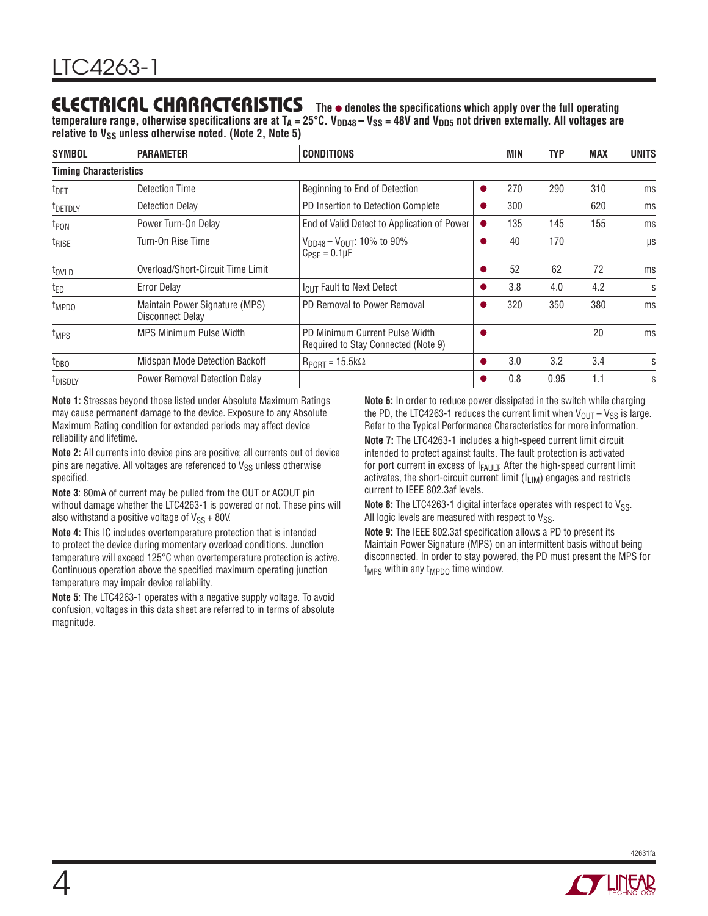### **ELECTRICAL CHARACTERISTICS** The  $\bullet$  denotes the specifications which apply over the full operating

temperature range, otherwise specifications are at  $T_A = 25^\circ \text{C}$ . V<sub>DD48</sub> – V<sub>SS</sub> = 48V and V<sub>DD5</sub> not driven externally. All voltages are relative to V<sub>SS</sub> unless otherwise noted. (Note 2, Note 5)

| <b>SYMBOL</b>                 | <b>PARAMETER</b>                                   | <b>CONDITIONS</b>                                                     |           | MIN | TYP  | <b>MAX</b> | <b>UNITS</b> |
|-------------------------------|----------------------------------------------------|-----------------------------------------------------------------------|-----------|-----|------|------------|--------------|
| <b>Timing Characteristics</b> |                                                    |                                                                       |           |     |      |            |              |
| t <sub>DET</sub>              | Detection Time                                     | Beginning to End of Detection                                         | D         | 270 | 290  | 310        | ms           |
| <sup>t</sup> DETDLY           | <b>Detection Delay</b>                             | PD Insertion to Detection Complete                                    |           | 300 |      | 620        | ms           |
| t <sub>PON</sub>              | Power Turn-On Delay                                | End of Valid Detect to Application of Power                           | $\bullet$ | 135 | 145  | 155        | ms           |
| t <sub>RISE</sub>             | Turn-On Rise Time                                  | $V_{DD48} - V_{OUT}$ : 10% to 90%<br>$C_{PSF} = 0.1 \mu F$            |           | 40  | 170  |            | μs           |
| $t_{\text{OVLD}}$             | Overload/Short-Circuit Time Limit                  |                                                                       |           | 52  | 62   | 72         | ms           |
| $t_{ED}$                      | <b>Error Delay</b>                                 | I <sub>CUT</sub> Fault to Next Detect                                 |           | 3.8 | 4.0  | 4.2        | S            |
| t <sub>MPDO</sub>             | Maintain Power Signature (MPS)<br>Disconnect Delay | PD Removal to Power Removal                                           |           | 320 | 350  | 380        | ms           |
| t <sub>MPS</sub>              | <b>MPS Minimum Pulse Width</b>                     | PD Minimum Current Pulse Width<br>Required to Stay Connected (Note 9) |           |     |      | 20         | ms           |
| t <sub>DBO</sub>              | Midspan Mode Detection Backoff                     | $R_{PORT} = 15.5 k\Omega$                                             |           | 3.0 | 3.2  | 3.4        | S            |
| t <sub>DISDLY</sub>           | <b>Power Removal Detection Delay</b>               |                                                                       |           | 0.8 | 0.95 | 1.1        | S            |

**Note 1:** Stresses beyond those listed under Absolute Maximum Ratings may cause permanent damage to the device. Exposure to any Absolute Maximum Rating condition for extended periods may affect device reliability and lifetime.

**Note 2:** All currents into device pins are positive; all currents out of device pins are negative. All voltages are referenced to  $V_{SS}$  unless otherwise specified.

**Note 3**: 80mA of current may be pulled from the OUT or ACOUT pin without damage whether the LTC4263-1 is powered or not. These pins will also withstand a positive voltage of  $V_{SS}$  + 80V.

**Note 4:** This IC includes overtemperature protection that is intended to protect the device during momentary overload conditions. Junction temperature will exceed 125°C when overtemperature protection is active. Continuous operation above the specified maximum operating junction temperature may impair device reliability.

**Note 5**: The LTC4263-1 operates with a negative supply voltage. To avoid confusion, voltages in this data sheet are referred to in terms of absolute magnitude.

**Note 6:** In order to reduce power dissipated in the switch while charging the PD, the LTC4263-1 reduces the current limit when  $V_{\text{OUT}} - V_{SS}$  is large. Refer to the Typical Performance Characteristics for more information.

**Note 7:** The LTC4263-1 includes a high-speed current limit circuit intended to protect against faults. The fault protection is activated for port current in excess of IFAULT. After the high-speed current limit activates, the short-circuit current limit  $(I_{LIM})$  engages and restricts current to IEEE 802.3af levels.

**Note 8:** The LTC4263-1 digital interface operates with respect to V<sub>SS</sub>. All logic levels are measured with respect to  $V_{SS}$ .

**Note 9:** The IEEE 802.3af specification allows a PD to present its Maintain Power Signature (MPS) on an intermittent basis without being disconnected. In order to stay powered, the PD must present the MPS for t<sub>MPS</sub> within any t<sub>MPDO</sub> time window.

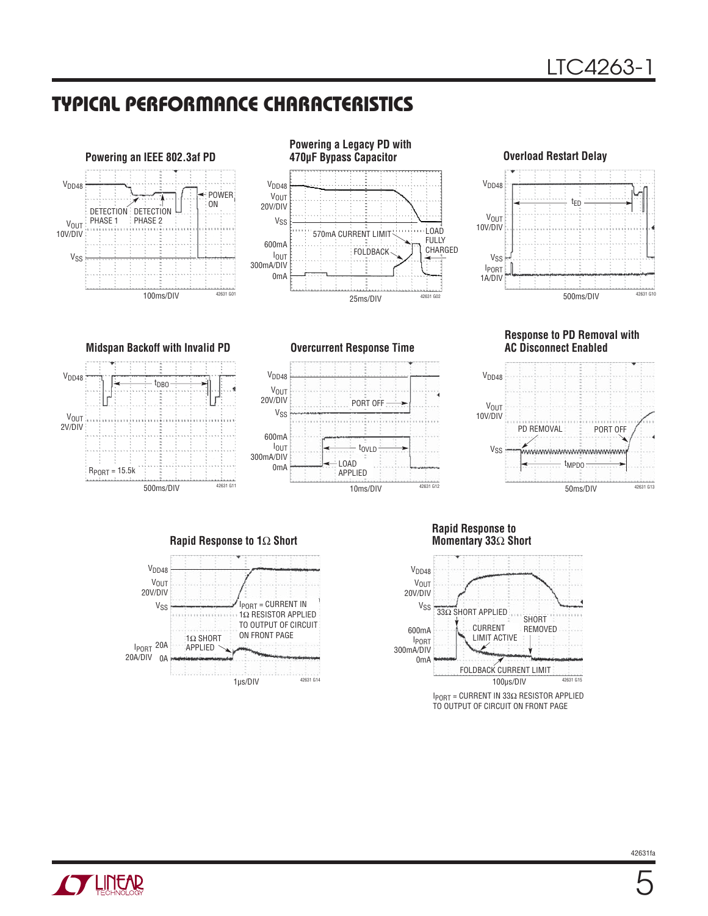### **TYPICAL PERFORMANCE CHARACTERISTICS**

V<sub>DD48</sub>

**V<sub>OUT</sub>** 20V/DIV

V<sub>SS</sub>

0mA

600mA





10ms/DIV

tOVLD

PORT OFF

LOAD APPLIED



**Response to PD Removal with AC Disconnect Enabled**





1μs/DIV

**Rapid Response to Momentary 33**Ω **Short**

42631 G12



IPORT = CURRENT IN 33Ω RESISTOR APPLIED TO OUTPUT OF CIRCUIT ON FRONT PAGE

**Midspan Backoff with Invalid PD Overcurrent Response Time** tDBO



 $V<sub>DD48</sub>$ 

**TLINEAR** 

500ms/DIV



42631 G14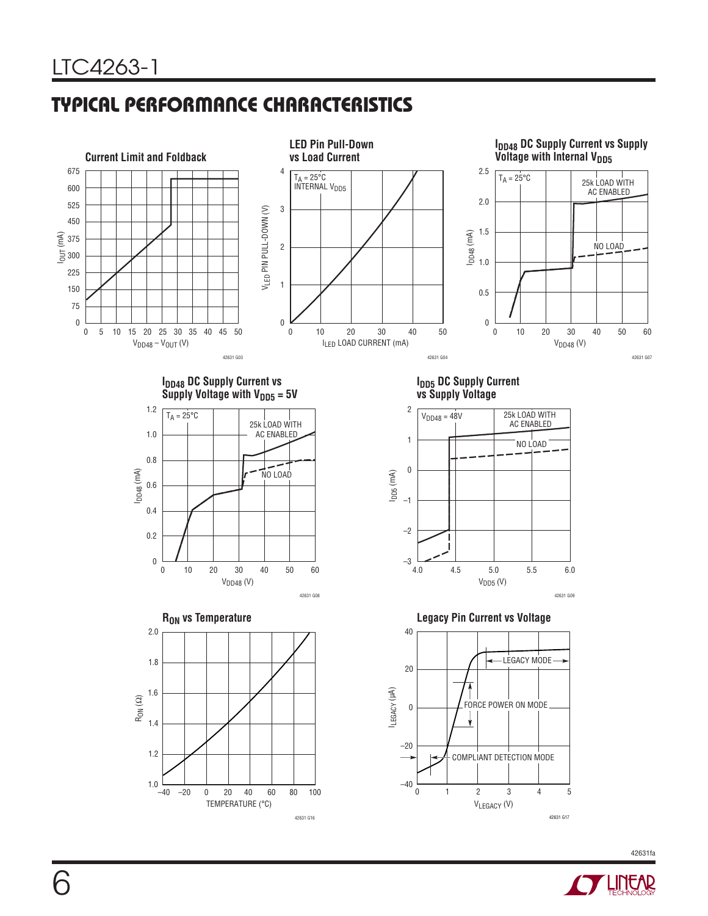# **TYPICAL PERFORMANCE CHARACTERISTICS**



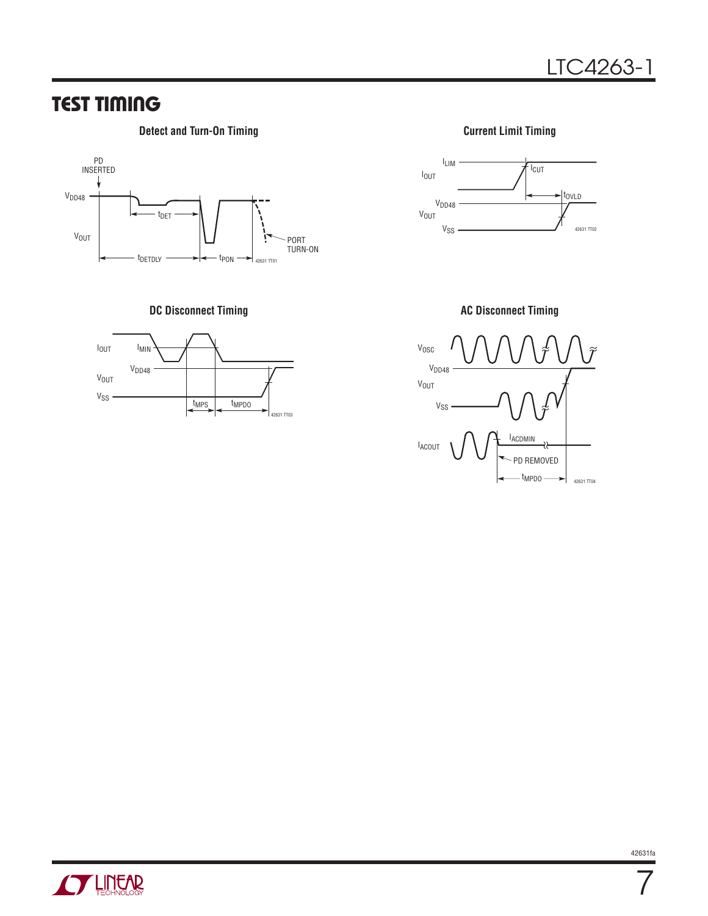### **TEST TIMING**

#### **Detect and Turn-On Timing Current Limit Timing Current Limit Timing**



**DC Disconnect Timing CONSERVING AC Disconnect Timing AC Disconnect Timing** 









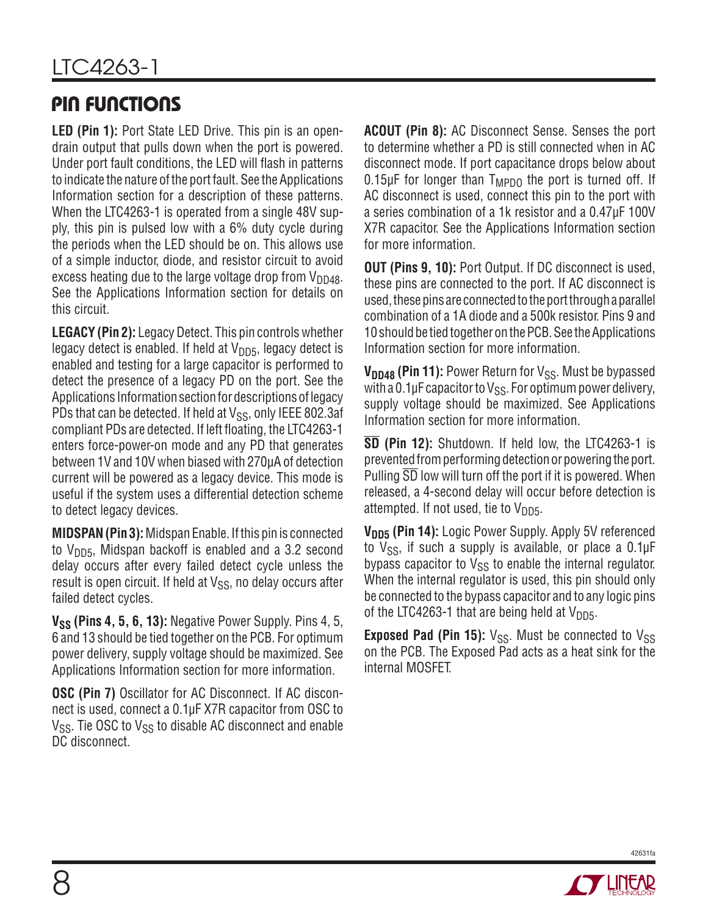# **PIN FUNCTIONS**

**LED (Pin 1):** Port State LED Drive. This pin is an opendrain output that pulls down when the port is powered. Under port fault conditions, the LED will flash in patterns to indicate the nature of the port fault. See the Applications Information section for a description of these patterns. When the LTC4263-1 is operated from a single 48V supply, this pin is pulsed low with a 6% duty cycle during the periods when the LED should be on. This allows use of a simple inductor, diode, and resistor circuit to avoid excess heating due to the large voltage drop from  $V_{DD48}$ . See the Applications Information section for details on this circuit.

**LEGACY (Pin 2):** Legacy Detect. This pin controls whether legacy detect is enabled. If held at  $V_{DD5}$ , legacy detect is enabled and testing for a large capacitor is performed to detect the presence of a legacy PD on the port. See the Applications Information section for descriptions of legacy PDs that can be detected. If held at  $V_{SS}$ , only IEEE 802.3af compliant PDs are detected. If left floating, the LTC4263-1 enters force-power-on mode and any PD that generates between 1V and 10V when biased with 270μA of detection current will be powered as a legacy device. This mode is useful if the system uses a differential detection scheme to detect legacy devices.

**MIDSPAN (Pin 3):** Midspan Enable. If this pin is connected to  $V<sub>DD5</sub>$ , Midspan backoff is enabled and a 3.2 second delay occurs after every failed detect cycle unless the result is open circuit. If held at  $V_{SS}$ , no delay occurs after failed detect cycles.

**V<sub>SS</sub>** (Pins 4, 5, 6, 13): Negative Power Supply. Pins 4, 5, 6 and 13 should be tied together on the PCB. For optimum power delivery, supply voltage should be maximized. See Applications Information section for more information.

**OSC (Pin 7)** Oscillator for AC Disconnect. If AC disconnect is used, connect a 0.1μF X7R capacitor from OSC to  $V_{SS}$ . Tie OSC to  $V_{SS}$  to disable AC disconnect and enable DC disconnect.

**ACOUT (Pin 8):** AC Disconnect Sense. Senses the port to determine whether a PD is still connected when in AC disconnect mode. If port capacitance drops below about  $0.15 \mu$ F for longer than  $T_{MPDO}$  the port is turned off. If AC disconnect is used, connect this pin to the port with a series combination of a 1k resistor and a 0.47μF 100V X7R capacitor. See the Applications Information section for more information.

**OUT (Pins 9, 10):** Port Output. If DC disconnect is used, these pins are connected to the port. If AC disconnect is used, these pins are connected to the port through a parallel combination of a 1A diode and a 500k resistor. Pins 9 and 10 should be tied together on the PCB. See the Applications Information section for more information.

**V<sub>DD48</sub> (Pin 11):** Power Return for V<sub>SS</sub>. Must be bypassed with a 0.1µF capacitor to  $V_{SS}$ . For optimum power delivery, supply voltage should be maximized. See Applications Information section for more information.

**SD (Pin 12):** Shutdown. If held low, the LTC4263-1 is prevented from performing detection or powering the port. Pulling SD low will turn off the port if it is powered. When released, a 4-second delay will occur before detection is attempted. If not used, tie to  $V_{DD5}$ .

V<sub>DD5</sub> (Pin 14): Logic Power Supply. Apply 5V referenced to  $V_{SS}$ , if such a supply is available, or place a 0.1 $\mu$ F bypass capacitor to  $V_{SS}$  to enable the internal regulator. When the internal regulator is used, this pin should only be connected to the bypass capacitor and to any logic pins of the LTC4263-1 that are being held at  $V_{DD5}$ .

**Exposed Pad (Pin 15):**  $V_{SS}$ . Must be connected to  $V_{SS}$ on the PCB. The Exposed Pad acts as a heat sink for the internal MOSFET.

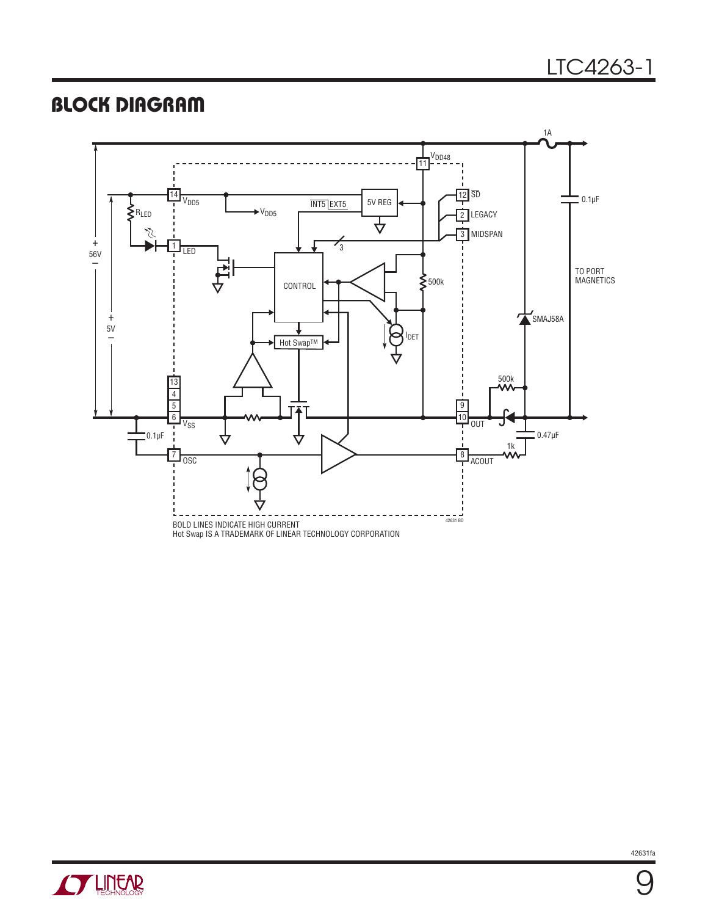### **BLOCK DIAGRAM**



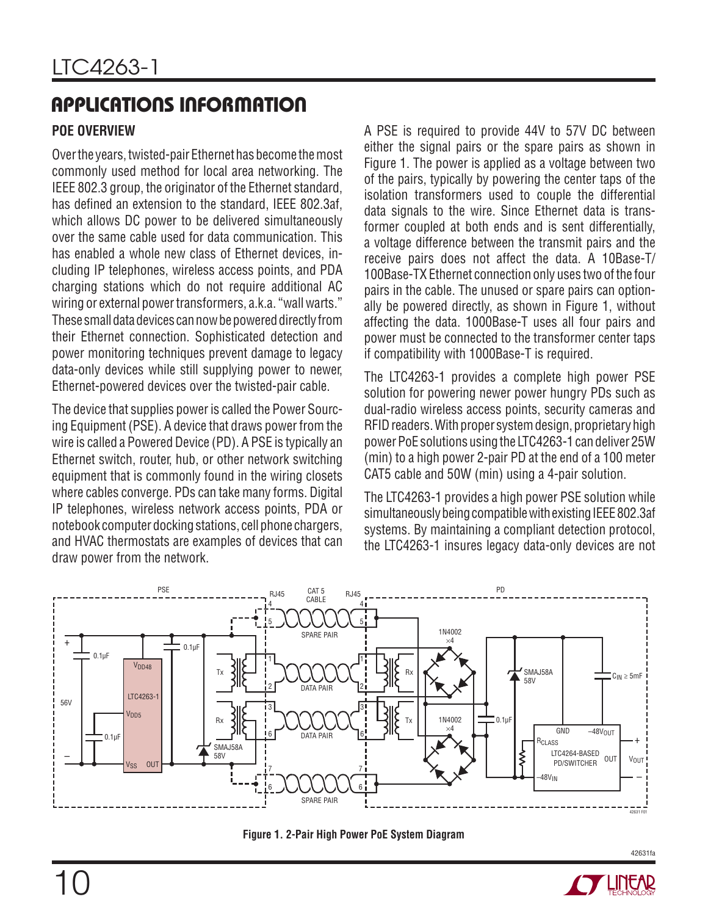#### **POE OVERVIEW**

Over the years, twisted-pair Ethernet has become the most commonly used method for local area networking. The IEEE 802.3 group, the originator of the Ethernet standard, has defined an extension to the standard, IEEE 802.3af, which allows DC power to be delivered simultaneously over the same cable used for data communication. This has enabled a whole new class of Ethernet devices, including IP telephones, wireless access points, and PDA charging stations which do not require additional AC wiring or external power transformers, a.k.a. "wall warts." These small data devices can now be powered directly from their Ethernet connection. Sophisticated detection and power monitoring techniques prevent damage to legacy data-only devices while still supplying power to newer, Ethernet-powered devices over the twisted-pair cable.

The device that supplies power is called the Power Sourcing Equipment (PSE). A device that draws power from the wire is called a Powered Device (PD). A PSE is typically an Ethernet switch, router, hub, or other network switching equipment that is commonly found in the wiring closets where cables converge. PDs can take many forms. Digital IP telephones, wireless network access points, PDA or notebook computer docking stations, cell phone chargers, and HVAC thermostats are examples of devices that can draw power from the network.

A PSE is required to provide 44V to 57V DC between either the signal pairs or the spare pairs as shown in Figure 1. The power is applied as a voltage between two of the pairs, typically by powering the center taps of the isolation transformers used to couple the differential data signals to the wire. Since Ethernet data is transformer coupled at both ends and is sent differentially, a voltage difference between the transmit pairs and the receive pairs does not affect the data. A 10Base-T/ 100Base-TX Ethernet connection only uses two of the four pairs in the cable. The unused or spare pairs can optionally be powered directly, as shown in Figure 1, without affecting the data. 1000Base-T uses all four pairs and power must be connected to the transformer center taps if compatibility with 1000Base-T is required.

The LTC4263-1 provides a complete high power PSE solution for powering newer power hungry PDs such as dual-radio wireless access points, security cameras and RFID readers. With proper system design, proprietary high power PoE solutions using the LTC4263-1 can deliver 25W (min) to a high power 2-pair PD at the end of a 100 meter CAT5 cable and 50W (min) using a 4-pair solution.

The LTC4263-1 provides a high power PSE solution while simultaneously being compatible with existing IEEE 802.3af systems. By maintaining a compliant detection protocol, the LTC4263-1 insures legacy data-only devices are not



**Figure 1. 2-Pair High Power PoE System Diagram**

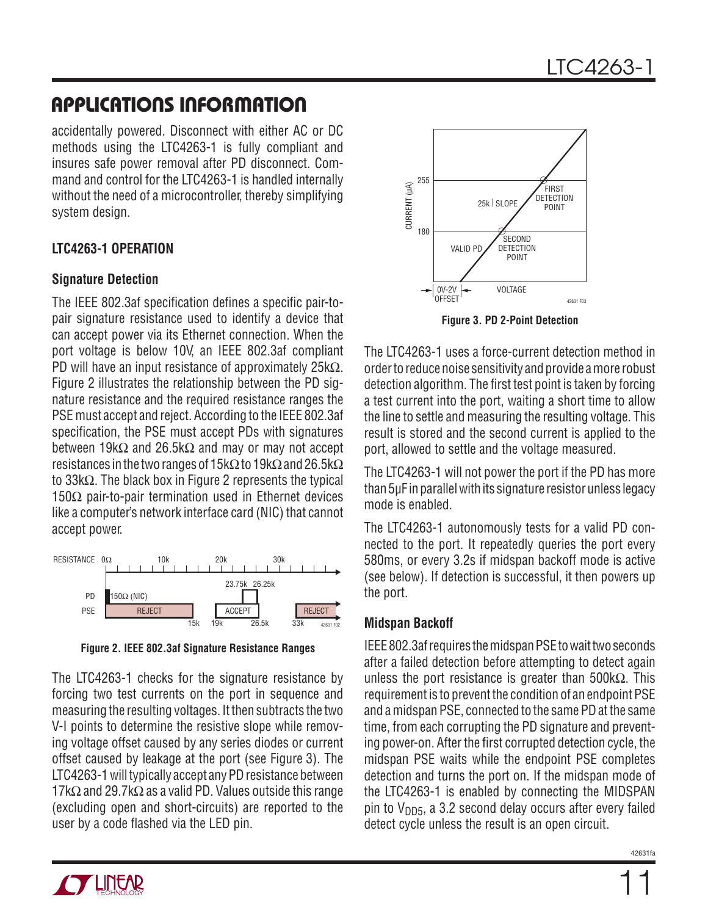accidentally powered. Disconnect with either AC or DC methods using the LTC4263-1 is fully compliant and insures safe power removal after PD disconnect. Command and control for the LTC4263-1 is handled internally without the need of a microcontroller, thereby simplifying system design.

#### **LTC4263-1 OPERATION**

#### **Signature Detection**

The IEEE 802.3af specification defines a specific pair-topair signature resistance used to identify a device that can accept power via its Ethernet connection. When the port voltage is below 10V, an IEEE 802.3af compliant PD will have an input resistance of approximately 25kΩ. Figure 2 illustrates the relationship between the PD signature resistance and the required resistance ranges the PSE must accept and reject. According to the IEEE 802.3af specification, the PSE must accept PDs with signatures between 19kΩ and 26.5kΩ and may or may not accept resistances in the two ranges of 15kΩ to 19kΩ and 26.5kΩ to 33kΩ. The black box in Figure 2 represents the typical 150Ω pair-to-pair termination used in Ethernet devices like a computer's network interface card (NIC) that cannot accept power.



**Figure 2. IEEE 802.3af Signature Resistance Ranges**

The LTC4263-1 checks for the signature resistance by forcing two test currents on the port in sequence and measuring the resulting voltages. It then subtracts the two V-I points to determine the resistive slope while removing voltage offset caused by any series diodes or current offset caused by leakage at the port (see Figure 3). The LTC4263-1 will typically accept any PD resistance between 17k $\Omega$  and 29.7k $\Omega$  as a valid PD. Values outside this range (excluding open and short-circuits) are reported to the user by a code flashed via the LED pin.



**Figure 3. PD 2-Point Detection**

The LTC4263-1 uses a force-current detection method in order to reduce noise sensitivity and provide a more robust detection algorithm. The first test point is taken by forcing a test current into the port, waiting a short time to allow the line to settle and measuring the resulting voltage. This result is stored and the second current is applied to the port, allowed to settle and the voltage measured.

The LTC4263-1 will not power the port if the PD has more than 5μF in parallel with its signature resistor unless legacy mode is enabled.

The LTC4263-1 autonomously tests for a valid PD connected to the port. It repeatedly queries the port every 580ms, or every 3.2s if midspan backoff mode is active (see below). If detection is successful, it then powers up the port.

#### **Midspan Backoff**

IEEE 802.3af requires the midspan PSE to wait two seconds after a failed detection before attempting to detect again unless the port resistance is greater than 500kΩ. This requirement is to prevent the condition of an endpoint PSE and a midspan PSE, connected to the same PD at the same time, from each corrupting the PD signature and preventing power-on. After the first corrupted detection cycle, the midspan PSE waits while the endpoint PSE completes detection and turns the port on. If the midspan mode of the LTC4263-1 is enabled by connecting the MIDSPAN pin to  $V<sub>DD5</sub>$ , a 3.2 second delay occurs after every failed detect cycle unless the result is an open circuit.

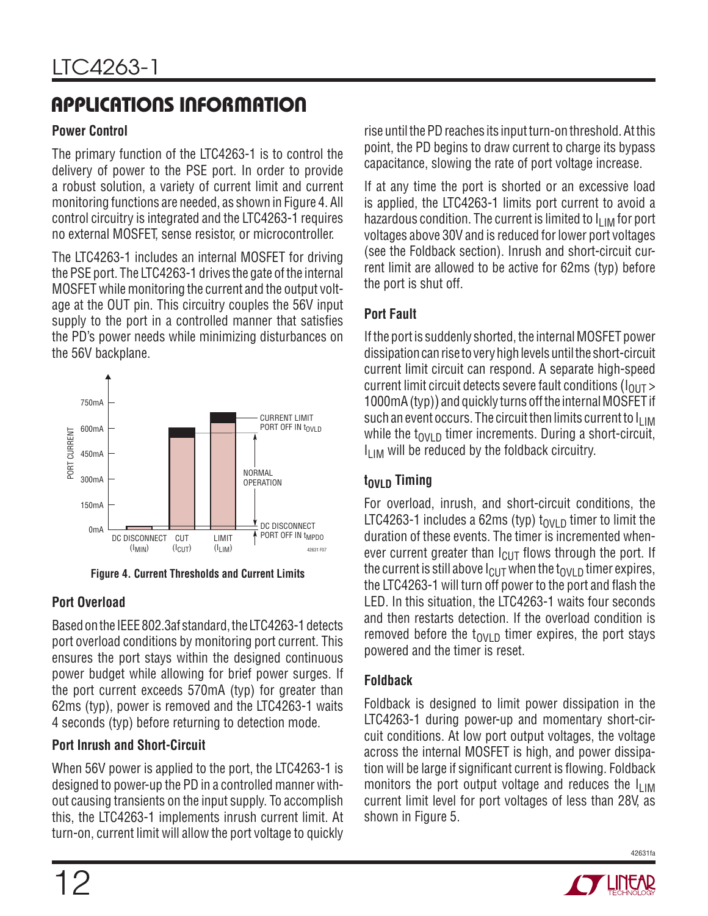#### **Power Control**

The primary function of the LTC4263-1 is to control the delivery of power to the PSE port. In order to provide a robust solution, a variety of current limit and current monitoring functions are needed, as shown in Figure 4. All control circuitry is integrated and the LTC4263-1 requires no external MOSFET, sense resistor, or microcontroller.

The LTC4263-1 includes an internal MOSFET for driving the PSE port. The LTC4263-1 drives the gate of the internal MOSFET while monitoring the current and the output voltage at the OUT pin. This circuitry couples the 56V input supply to the port in a controlled manner that satisfies the PD's power needs while minimizing disturbances on the 56V backplane.



**Figure 4. Current Thresholds and Current Limits**

### **Port Overload**

Based on the IEEE 802.3af standard, the LTC4263-1 detects port overload conditions by monitoring port current. This ensures the port stays within the designed continuous power budget while allowing for brief power surges. If the port current exceeds 570mA (typ) for greater than 62ms (typ), power is removed and the LTC4263-1 waits 4 seconds (typ) before returning to detection mode.

#### **Port Inrush and Short-Circuit**

When 56V power is applied to the port, the LTC4263-1 is designed to power-up the PD in a controlled manner without causing transients on the input supply. To accomplish this, the LTC4263-1 implements inrush current limit. At rise until the PD reaches its input turn-on threshold. At this point, the PD begins to draw current to charge its bypass capacitance, slowing the rate of port voltage increase.

If at any time the port is shorted or an excessive load is applied, the LTC4263-1 limits port current to avoid a hazardous condition. The current is limited to  $I_{LIM}$  for port voltages above 30V and is reduced for lower port voltages (see the Foldback section). Inrush and short-circuit current limit are allowed to be active for 62ms (typ) before the port is shut off.

### **Port Fault**

If the port is suddenly shorted, the internal MOSFET power dissipation can rise to very high levels until the short-circuit current limit circuit can respond. A separate high-speed current limit circuit detects severe fault conditions ( $I<sub>OUT</sub>$ ) 1000mA (typ)) and quickly turns off the internal MOSFET if such an event occurs. The circuit then limits current to  $I_{LIM}$ while the t<sub>OVLD</sub> timer increments. During a short-circuit,  $I<sub>11M</sub>$  will be reduced by the foldback circuitry.

### **t**<sub>OVLD</sub> Timing

For overload, inrush, and short-circuit conditions, the LTC4263-1 includes a 62ms (typ)  $t_{OVI}$  p timer to limit the duration of these events. The timer is incremented whenever current greater than  $I_{\text{Cl}}$  flows through the port. If the current is still above  $I_{\text{ClUT}}$  when the t<sub>OVLD</sub> timer expires, the LTC4263-1 will turn off power to the port and flash the LED. In this situation, the LTC4263-1 waits four seconds and then restarts detection. If the overload condition is removed before the  $t_{\text{OVI D}}$  timer expires, the port stays powered and the timer is reset.

### **Foldback**

Foldback is designed to limit power dissipation in the LTC4263-1 during power-up and momentary short-circuit conditions. At low port output voltages, the voltage across the internal MOSFET is high, and power dissipation will be large if significant current is flowing. Foldback monitors the port output voltage and reduces the  $I_{LIM}$ current limit level for port voltages of less than 28V, as shown in Figure 5.

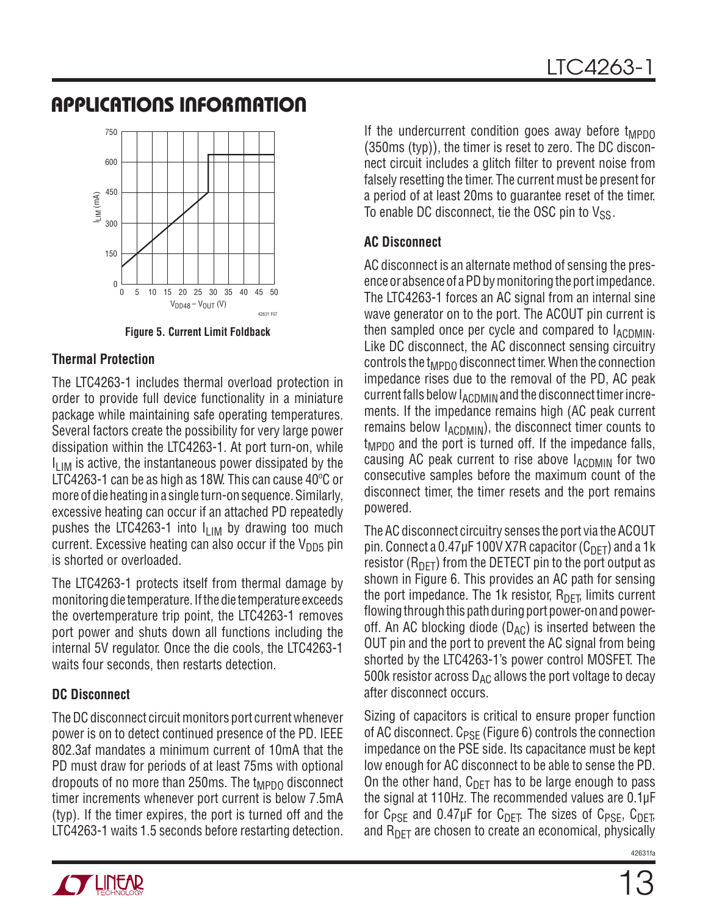![](_page_12_Figure_2.jpeg)

**Figure 5. Current Limit Foldback**

#### **Thermal Protection**

The LTC4263-1 includes thermal overload protection in order to provide full device functionality in a miniature package while maintaining safe operating temperatures. Several factors create the possibility for very large power dissipation within the LTC4263-1. At port turn-on, while  $I_{LIM}$  is active, the instantaneous power dissipated by the LTC4263-1 can be as high as 18W. This can cause 40ºC or more of die heating in a single turn-on sequence. Similarly, excessive heating can occur if an attached PD repeatedly pushes the LTC4263-1 into  $I_{LIM}$  by drawing too much current. Excessive heating can also occur if the  $V_{DD5}$  pin is shorted or overloaded.

The LTC4263-1 protects itself from thermal damage by monitoring die temperature. If the die temperature exceeds the overtemperature trip point, the LTC4263-1 removes port power and shuts down all functions including the internal 5V regulator. Once the die cools, the LTC4263-1 waits four seconds, then restarts detection.

#### **DC Disconnect**

The DC disconnect circuit monitors port current whenever power is on to detect continued presence of the PD. IEEE 802.3af mandates a minimum current of 10mA that the PD must draw for periods of at least 75ms with optional dropouts of no more than 250ms. The  $t_{MPDO}$  disconnect timer increments whenever port current is below 7.5mA (typ). If the timer expires, the port is turned off and the LTC4263-1 waits 1.5 seconds before restarting detection. If the undercurrent condition goes away before  $t_{\text{MPDO}}$ (350ms (typ)), the timer is reset to zero. The DC disconnect circuit includes a glitch filter to prevent noise from falsely resetting the timer. The current must be present for a period of at least 20ms to guarantee reset of the timer. To enable DC disconnect, tie the OSC pin to  $V_{SS}$ .

#### **AC Disconnect**

AC disconnect is an alternate method of sensing the presence or absence of a PD by monitoring the port impedance. The LTC4263-1 forces an AC signal from an internal sine wave generator on to the port. The ACOUT pin current is then sampled once per cycle and compared to  $I_{\text{ACDMIN}}$ . Like DC disconnect, the AC disconnect sensing circuitry controls the  $t_{\text{MPDO}}$  disconnect timer. When the connection impedance rises due to the removal of the PD, AC peak current falls below  $I_{\text{ACDMIN}}$  and the disconnect timer increments. If the impedance remains high (AC peak current remains below  $I_{\text{ACDMIN}}$ , the disconnect timer counts to  $t_{MPDO}$  and the port is turned off. If the impedance falls, causing AC peak current to rise above IACDMIN for two consecutive samples before the maximum count of the disconnect timer, the timer resets and the port remains powered.

The AC disconnect circuitry senses the port via the ACOUT pin. Connect a 0.47µF 100V X7R capacitor  $(C_{\text{DFT}})$  and a 1k resistor ( $R_{\text{DFT}}$ ) from the DETECT pin to the port output as shown in Figure 6. This provides an AC path for sensing the port impedance. The 1k resistor,  $R_{\text{DFT}}$  limits current flowing through this path during port power-on and poweroff. An AC blocking diode  $(D_{AC})$  is inserted between the OUT pin and the port to prevent the AC signal from being shorted by the LTC4263-1's power control MOSFET. The 500k resistor across  $D_{AC}$  allows the port voltage to decay after disconnect occurs.

Sizing of capacitors is critical to ensure proper function of AC disconnect.  $C_{PSF}$  (Figure 6) controls the connection impedance on the PSE side. Its capacitance must be kept low enough for AC disconnect to be able to sense the PD. On the other hand,  $C_{\text{DFT}}$  has to be large enough to pass the signal at 110Hz. The recommended values are 0.1μF for  $C_{PSF}$  and 0.47µF for  $C_{DFT}$ . The sizes of  $C_{PSF}$ ,  $C_{DFT}$ , and  $R_{\text{DFT}}$  are chosen to create an economical, physically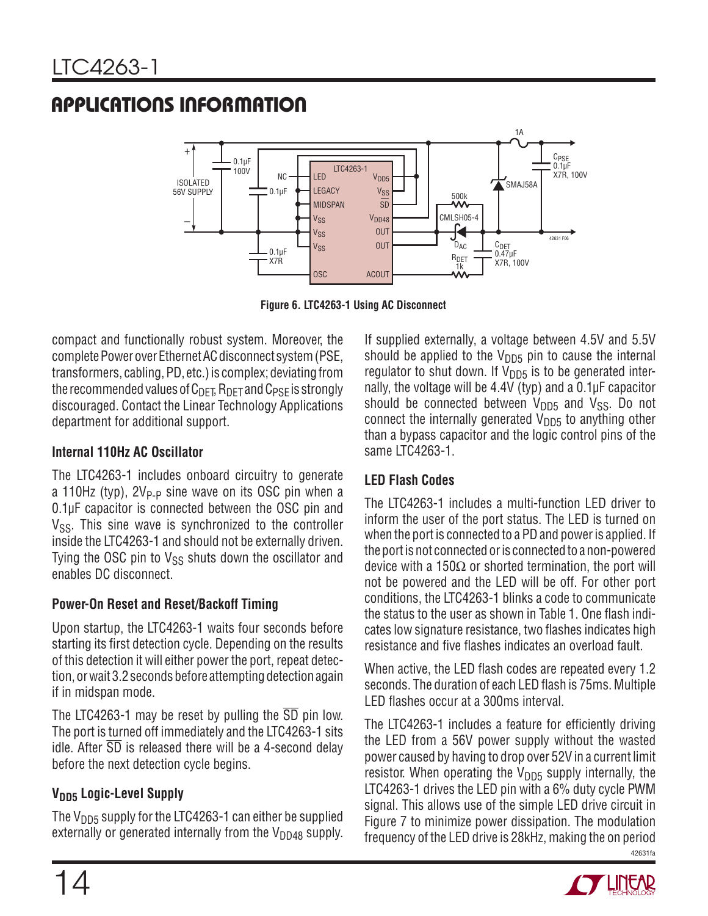![](_page_13_Figure_2.jpeg)

**Figure 6. LTC4263-1 Using AC Disconnect**

compact and functionally robust system. Moreover, the complete Power over Ethernet AC disconnect system (PSE, transformers, cabling, PD, etc.) is complex; deviating from the recommended values of  $C_{\text{DEF}}$ ,  $R_{\text{DET}}$  and  $C_{\text{PSF}}$  is strongly discouraged. Contact the Linear Technology Applications department for additional support.

#### **Internal 110Hz AC Oscillator**

The LTC4263-1 includes onboard circuitry to generate a 110Hz (typ),  $2V_{P-P}$  sine wave on its OSC pin when a 0.1μF capacitor is connected between the OSC pin and  $V_{SS}$ . This sine wave is synchronized to the controller inside the LTC4263-1 and should not be externally driven. Tying the OSC pin to  $V_{SS}$  shuts down the oscillator and enables DC disconnect.

#### **Power-On Reset and Reset/Backoff Timing**

Upon startup, the LTC4263-1 waits four seconds before starting its first detection cycle. Depending on the results of this detection it will either power the port, repeat detection, or wait 3.2 seconds before attempting detection again if in midspan mode.

The LTC4263-1 may be reset by pulling the SD pin low. The port is turned off immediately and the LTC4263-1 sits idle. After  $\overline{SD}$  is released there will be a 4-second delay before the next detection cycle begins.

### **V**<sub>DD5</sub> Logic-Level Supply

The  $V_{DD5}$  supply for the LTC4263-1 can either be supplied externally or generated internally from the  $V_{DD48}$  supply. If supplied externally, a voltage between 4.5V and 5.5V should be applied to the  $V_{\text{DD5}}$  pin to cause the internal regulator to shut down. If  $V_{\text{DD5}}$  is to be generated internally, the voltage will be 4.4V (typ) and a 0.1μF capacitor should be connected between  $V_{DD5}$  and  $V_{SS}$ . Do not connect the internally generated  $V<sub>DD5</sub>$  to anything other than a bypass capacitor and the logic control pins of the same LTC4263-1.

### **LED Flash Codes**

The LTC4263-1 includes a multi-function LED driver to inform the user of the port status. The LED is turned on when the port is connected to a PD and power is applied. If the port is not connected or is connected to a non-powered device with a 150Ω or shorted termination, the port will not be powered and the LED will be off. For other port conditions, the LTC4263-1 blinks a code to communicate the status to the user as shown in Table 1. One flash indicates low signature resistance, two flashes indicates high resistance and five flashes indicates an overload fault.

When active, the LED flash codes are repeated every 1.2 seconds. The duration of each LED flash is 75ms. Multiple LED flashes occur at a 300ms interval.

42631fa The LTC4263-1 includes a feature for efficiently driving the LED from a 56V power supply without the wasted power caused by having to drop over 52V in a current limit resistor. When operating the  $V_{DD5}$  supply internally, the LTC4263-1 drives the LED pin with a 6% duty cycle PWM signal. This allows use of the simple LED drive circuit in Figure 7 to minimize power dissipation. The modulation frequency of the LED drive is 28kHz, making the on period

![](_page_13_Picture_17.jpeg)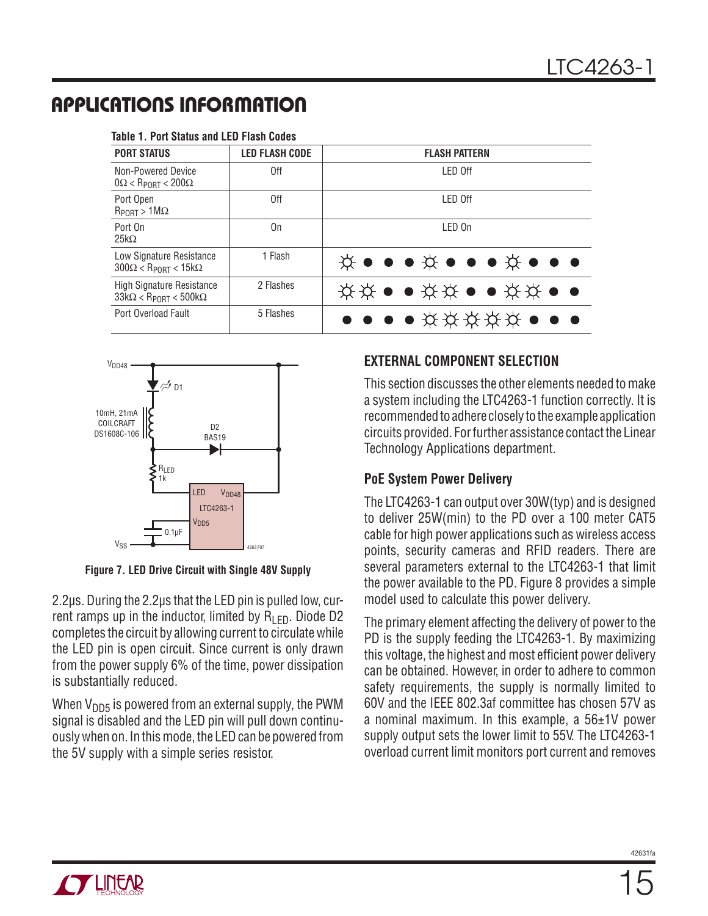| <b>PORT STATUS</b>                                                             | <b>LED FLASH CODE</b> | <b>FLASH PATTERN</b>                                                                                               |  |  |  |
|--------------------------------------------------------------------------------|-----------------------|--------------------------------------------------------------------------------------------------------------------|--|--|--|
| Non-Powered Device<br>$0\Omega < R_{\text{PORT}} < 200\Omega$                  | 0ff                   | I FD Off                                                                                                           |  |  |  |
| Port Open<br>$R_{PORT} > 1 M\Omega$                                            | 0ff                   | LED Off                                                                                                            |  |  |  |
| Port On<br>$25k\Omega$                                                         | 0n                    | LED On                                                                                                             |  |  |  |
| Low Signature Resistance<br>$300\Omega < R_{\text{PORT}} < 15k\Omega$          | 1 Flash               | $\breve{\chi}$ $\bullet$ $\bullet$ $\breve{\chi}$ $\bullet$ $\bullet$ $\breve{\chi}$ $\bullet$ $\bullet$ $\bullet$ |  |  |  |
| <b>High Signature Resistance</b><br>$33k\Omega < R_{\text{PORT}} < 500k\Omega$ | 2 Flashes             | <b>☆☆●●☆☆●●☆☆●●</b>                                                                                                |  |  |  |
| Port Overload Fault                                                            | 5 Flashes             | ● ● ● ☆☆☆☆☆ ● ● ●                                                                                                  |  |  |  |

#### **Table 1. Port Status and LED Flash Codes**

![](_page_14_Figure_4.jpeg)

**Figure 7. LED Drive Circuit with Single 48V Supply**

2.2μs. During the 2.2μs that the LED pin is pulled low, current ramps up in the inductor, limited by  $R_{\text{LED}}$ . Diode D2 completes the circuit by allowing current to circulate while the LED pin is open circuit. Since current is only drawn from the power supply 6% of the time, power dissipation is substantially reduced.

When  $V_{\text{DD5}}$  is powered from an external supply, the PWM signal is disabled and the LED pin will pull down continuously when on. In this mode, the LED can be powered from the 5V supply with a simple series resistor.

#### **EXTERNAL COMPONENT SELECTION**

This section discusses the other elements needed to make a system including the LTC4263-1 function correctly. It is recommended to adhere closely to the example application circuits provided. For further assistance contact the Linear Technology Applications department.

#### **PoE System Power Delivery**

The LTC4263-1 can output over 30W(typ) and is designed to deliver 25W(min) to the PD over a 100 meter CAT5 cable for high power applications such as wireless access points, security cameras and RFID readers. There are several parameters external to the LTC4263-1 that limit the power available to the PD. Figure 8 provides a simple model used to calculate this power delivery.

The primary element affecting the delivery of power to the PD is the supply feeding the LTC4263-1. By maximizing this voltage, the highest and most efficient power delivery can be obtained. However, in order to adhere to common safety requirements, the supply is normally limited to 60V and the IEEE 802.3af committee has chosen 57V as a nominal maximum. In this example, a 56±1V power supply output sets the lower limit to 55V. The LTC4263-1 overload current limit monitors port current and removes

![](_page_14_Picture_13.jpeg)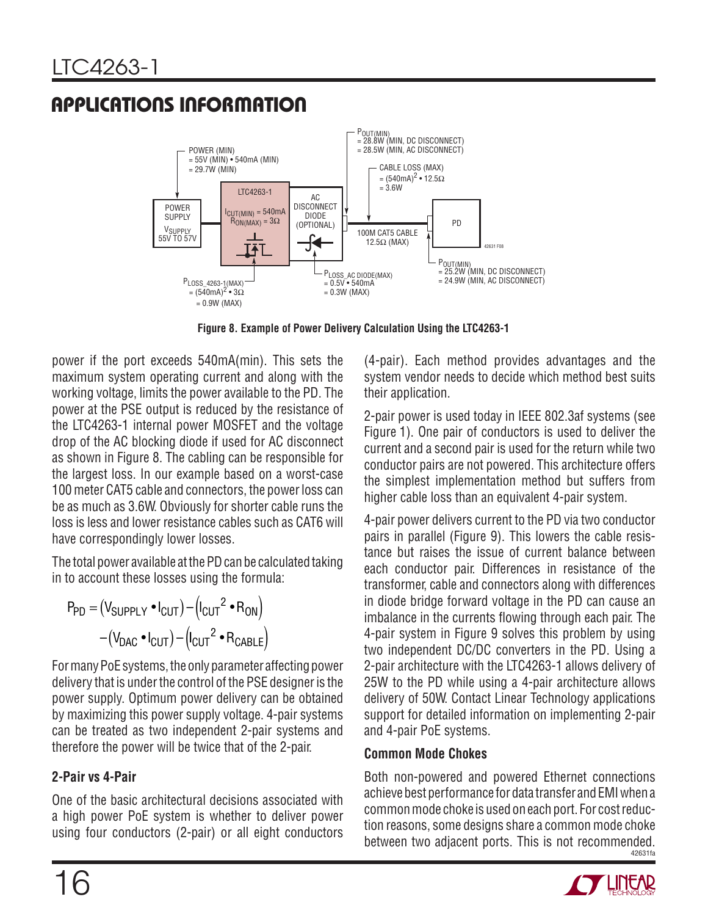![](_page_15_Figure_2.jpeg)

**Figure 8. Example of Power Delivery Calculation Using the LTC4263-1**

power if the port exceeds 540mA(min). This sets the maximum system operating current and along with the working voltage, limits the power available to the PD. The power at the PSE output is reduced by the resistance of the LTC4263-1 internal power MOSFET and the voltage drop of the AC blocking diode if used for AC disconnect as shown in Figure 8. The cabling can be responsible for the largest loss. In our example based on a worst-case 100 meter CAT5 cable and connectors, the power loss can be as much as 3.6W. Obviously for shorter cable runs the loss is less and lower resistance cables such as CAT6 will have correspondingly lower losses.

The total power available at the PD can be calculated taking in to account these losses using the formula:

$$
P_{PD} = (V_{SUPPLY} \cdot I_{CUT}) - (I_{CUT}^2 \cdot R_{ON})
$$

$$
-(V_{DAC} \cdot I_{CUT}) - (I_{CUT}^2 \cdot R_{CABLE})
$$

For many PoE systems, the only parameter affecting power delivery that is under the control of the PSE designer is the power supply. Optimum power delivery can be obtained by maximizing this power supply voltage. 4-pair systems can be treated as two independent 2-pair systems and therefore the power will be twice that of the 2-pair.

### **2-Pair vs 4-Pair**

One of the basic architectural decisions associated with a high power PoE system is whether to deliver power using four conductors (2-pair) or all eight conductors (4-pair). Each method provides advantages and the system vendor needs to decide which method best suits their application.

2-pair power is used today in IEEE 802.3af systems (see Figure 1). One pair of conductors is used to deliver the current and a second pair is used for the return while two conductor pairs are not powered. This architecture offers the simplest implementation method but suffers from higher cable loss than an equivalent 4-pair system.

4-pair power delivers current to the PD via two conductor pairs in parallel (Figure 9). This lowers the cable resistance but raises the issue of current balance between each conductor pair. Differences in resistance of the transformer, cable and connectors along with differences in diode bridge forward voltage in the PD can cause an imbalance in the currents flowing through each pair. The 4-pair system in Figure 9 solves this problem by using two independent DC/DC converters in the PD. Using a 2-pair architecture with the LTC4263-1 allows delivery of 25W to the PD while using a 4-pair architecture allows delivery of 50W. Contact Linear Technology applications support for detailed information on implementing 2-pair and 4-pair PoE systems.

#### **Common Mode Chokes**

42631fa Both non-powered and powered Ethernet connections achieve best performance for data transfer and EMI when a common mode choke is used on each port. For cost reduction reasons, some designs share a common mode choke between two adjacent ports. This is not recommended.

![](_page_15_Picture_15.jpeg)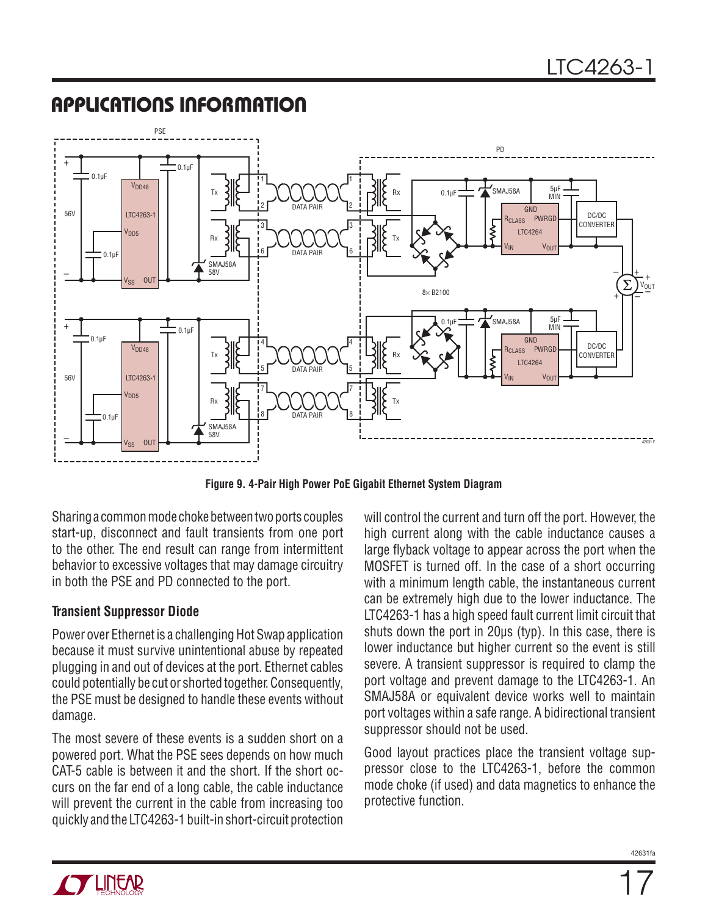![](_page_16_Figure_2.jpeg)

**Figure 9. 4-Pair High Power PoE Gigabit Ethernet System Diagram**

Sharing a common mode choke between two ports couples start-up, disconnect and fault transients from one port to the other. The end result can range from intermittent behavior to excessive voltages that may damage circuitry in both the PSE and PD connected to the port.

#### **Transient Suppressor Diode**

Power over Ethernet is a challenging Hot Swap application because it must survive unintentional abuse by repeated plugging in and out of devices at the port. Ethernet cables could potentially be cut or shorted together. Consequently, the PSE must be designed to handle these events without damage.

The most severe of these events is a sudden short on a powered port. What the PSE sees depends on how much CAT-5 cable is between it and the short. If the short occurs on the far end of a long cable, the cable inductance will prevent the current in the cable from increasing too quickly and the LTC4263-1 built-in short-circuit protection will control the current and turn off the port. However, the high current along with the cable inductance causes a large flyback voltage to appear across the port when the MOSFET is turned off. In the case of a short occurring with a minimum length cable, the instantaneous current can be extremely high due to the lower inductance. The LTC4263-1 has a high speed fault current limit circuit that shuts down the port in 20μs (typ). In this case, there is lower inductance but higher current so the event is still severe. A transient suppressor is required to clamp the port voltage and prevent damage to the LTC4263-1. An SMAJ58A or equivalent device works well to maintain port voltages within a safe range. A bidirectional transient suppressor should not be used.

Good layout practices place the transient voltage suppressor close to the LTC4263-1, before the common mode choke (if used) and data magnetics to enhance the protective function.

![](_page_16_Picture_10.jpeg)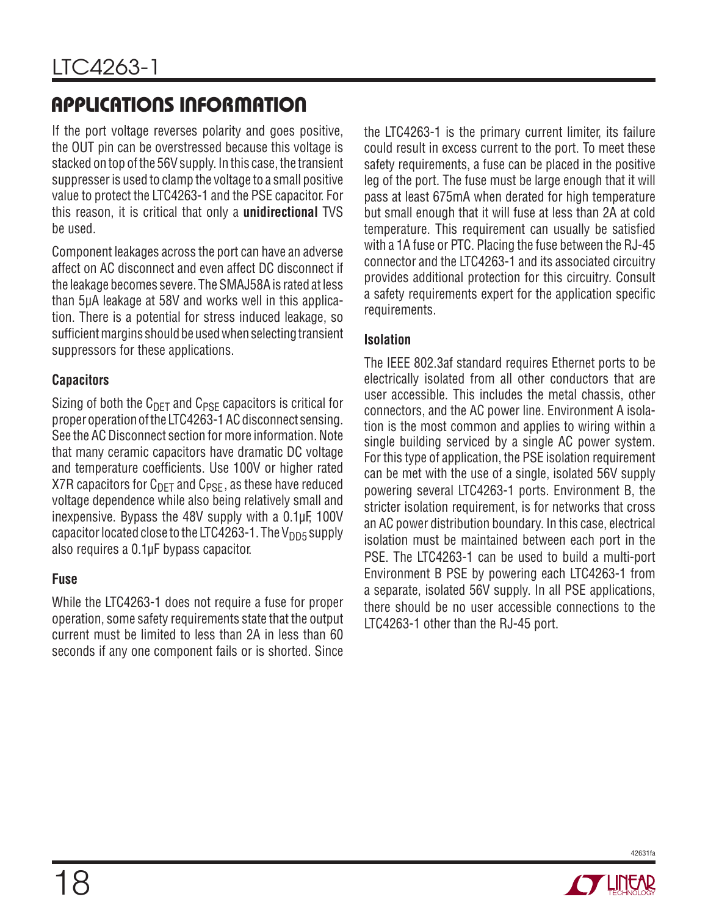If the port voltage reverses polarity and goes positive, the OUT pin can be overstressed because this voltage is stacked on top of the 56V supply. In this case, the transient suppresser is used to clamp the voltage to a small positive value to protect the LTC4263-1 and the PSE capacitor. For this reason, it is critical that only a **unidirectional** TVS be used.

Component leakages across the port can have an adverse affect on AC disconnect and even affect DC disconnect if the leakage becomes severe. The SMAJ58A is rated at less than 5μA leakage at 58V and works well in this application. There is a potential for stress induced leakage, so sufficient margins should be used when selecting transient suppressors for these applications.

#### **Capacitors**

Sizing of both the  $C_{\text{DFT}}$  and  $C_{\text{PSF}}$  capacitors is critical for proper operation of the LTC4263-1 AC disconnect sensing. See the AC Disconnect section for more information. Note that many ceramic capacitors have dramatic DC voltage and temperature coefficients. Use 100V or higher rated X7R capacitors for  $C_{\text{DFT}}$  and  $C_{\text{PSF}}$ , as these have reduced voltage dependence while also being relatively small and inexpensive. Bypass the 48V supply with a 0.1μF, 100V capacitor located close to the LTC4263-1. The  $V_{\text{DD5}}$  supply also requires a 0.1μF bypass capacitor.

#### **Fuse**

While the LTC4263-1 does not require a fuse for proper operation, some safety requirements state that the output current must be limited to less than 2A in less than 60 seconds if any one component fails or is shorted. Since

the LTC4263-1 is the primary current limiter, its failure could result in excess current to the port. To meet these safety requirements, a fuse can be placed in the positive leg of the port. The fuse must be large enough that it will pass at least 675mA when derated for high temperature but small enough that it will fuse at less than 2A at cold temperature. This requirement can usually be satisfied with a 1A fuse or PTC. Placing the fuse between the RJ-45 connector and the LTC4263-1 and its associated circuitry provides additional protection for this circuitry. Consult a safety requirements expert for the application specific requirements.

#### **Isolation**

The IEEE 802.3af standard requires Ethernet ports to be electrically isolated from all other conductors that are user accessible. This includes the metal chassis, other connectors, and the AC power line. Environment A isolation is the most common and applies to wiring within a single building serviced by a single AC power system. For this type of application, the PSE isolation requirement can be met with the use of a single, isolated 56V supply powering several LTC4263-1 ports. Environment B, the stricter isolation requirement, is for networks that cross an AC power distribution boundary. In this case, electrical isolation must be maintained between each port in the PSE. The LTC4263-1 can be used to build a multi-port Environment B PSE by powering each LTC4263-1 from a separate, isolated 56V supply. In all PSE applications, there should be no user accessible connections to the LTC4263-1 other than the RJ-45 port.

![](_page_17_Picture_11.jpeg)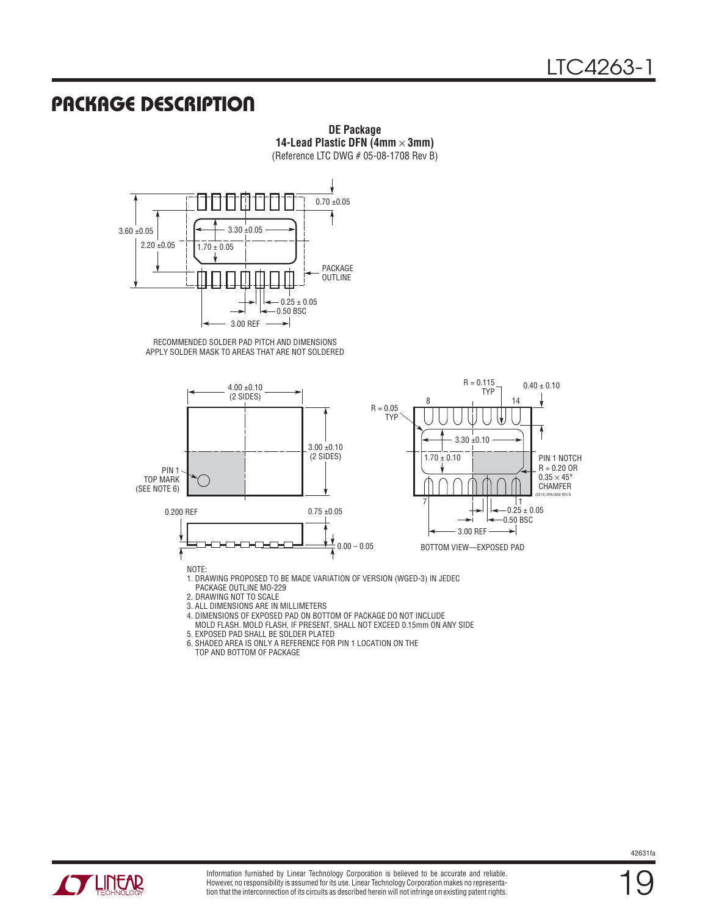### **PACKAGE DESCRIPTION**

**14-Lead Plastic DFN (4mm** × **3mm)** (Reference LTC DWG # 05-08-1708 Rev B)  $0.70 \pm 0.05$ 3.30 ±0.05

![](_page_18_Figure_3.jpeg)

RECOMMENDED SOLDER PAD PITCH AND DIMENSIONS APPLY SOLDER MASK TO AREAS THAT ARE NOT SOLDERED

![](_page_18_Figure_5.jpeg)

**DE Package**

NOTE:

1. DRAWING PROPOSED TO BE MADE VARIATION OF VERSION (WGED-3) IN JEDEC PACKAGE OUTLINE MO-229

2. DRAWING NOT TO SCALE

3. ALL DIMENSIONS ARE IN MILLIMETERS

4. DIMENSIONS OF EXPOSED PAD ON BOTTOM OF PACKAGE DO NOT INCLUDE MOLD FLASH. MOLD FLASH, IF PRESENT, SHALL NOT EXCEED 0.15mm ON ANY SIDE

5. EXPOSED PAD SHALL BE SOLDER PLATED

6. SHADED AREA IS ONLY A REFERENCE FOR PIN 1 LOCATION ON THE TOP AND BOTTOM OF PACKAGE

![](_page_18_Picture_13.jpeg)